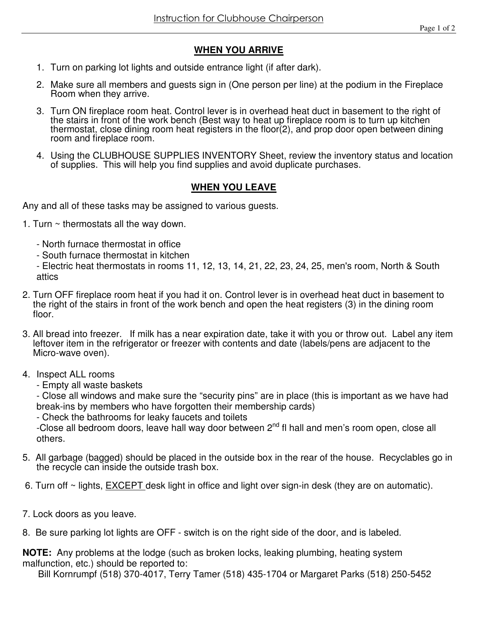## **WHEN YOU ARRIVE**

- 1. Turn on parking lot lights and outside entrance light (if after dark).
- 2. Make sure all members and guests sign in (One person per line) at the podium in the Fireplace Room when they arrive.
- 3. Turn ON fireplace room heat. Control lever is in overhead heat duct in basement to the right of the stairs in front of the work bench (Best way to heat up fireplace room is to turn up kitchen thermostat, close dining room heat registers in the floor(2), and prop door open between dining room and fireplace room.
- 4. Using the CLUBHOUSE SUPPLIES INVENTORY Sheet, review the inventory status and location of supplies. This will help you find supplies and avoid duplicate purchases.

## **WHEN YOU LEAVE**

Any and all of these tasks may be assigned to various guests.

- 1. Turn  $\sim$  thermostats all the way down.
	- North furnace thermostat in office
	- South furnace thermostat in kitchen

- Electric heat thermostats in rooms 11, 12, 13, 14, 21, 22, 23, 24, 25, men's room, North & South attics

- 2. Turn OFF fireplace room heat if you had it on. Control lever is in overhead heat duct in basement to the right of the stairs in front of the work bench and open the heat registers (3) in the dining room floor.
- 3. All bread into freezer. If milk has a near expiration date, take it with you or throw out. Label any item leftover item in the refrigerator or freezer with contents and date (labels/pens are adjacent to the Micro-wave oven).
- 4. Inspect ALL rooms
	- Empty all waste baskets

- Close all windows and make sure the "security pins" are in place (this is important as we have had break-ins by members who have forgotten their membership cards)

- Check the bathrooms for leaky faucets and toilets

-Close all bedroom doors, leave hall way door between 2<sup>nd</sup> fl hall and men's room open, close all others.

- 5. All garbage (bagged) should be placed in the outside box in the rear of the house. Recyclables go in the recycle can inside the outside trash box.
- 6. Turn off ~ lights, EXCEPT desk light in office and light over sign-in desk (they are on automatic).
- 7. Lock doors as you leave.
- 8. Be sure parking lot lights are OFF switch is on the right side of the door, and is labeled.

**NOTE:** Any problems at the lodge (such as broken locks, leaking plumbing, heating system malfunction, etc.) should be reported to:

Bill Kornrumpf (518) 370-4017, Terry Tamer (518) 435-1704 or Margaret Parks (518) 250-5452